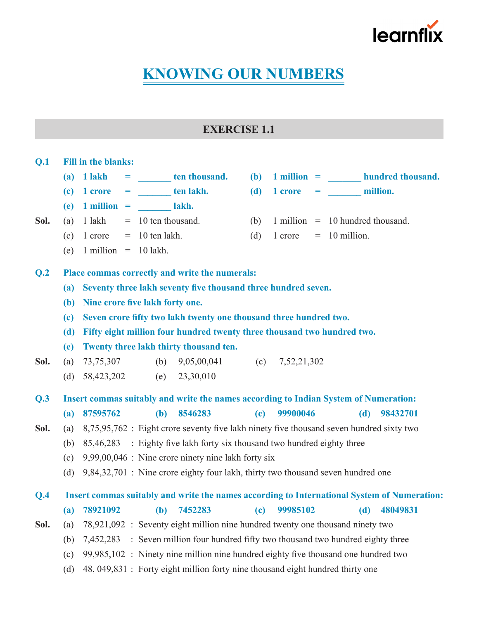

# **KNOWING OUR NUMBERS**

# **EXERCISE 1.1**

#### **Q.1 Fill in the blanks:**

- $(a)$  **1** lakh  $=$  **ten thousand.**  $(b)$  **1** million  $=$  **hundred thousand.**
- $f(c)$  **1** crore **= ten lakh. (d) 1** crore **= million.**
- $(e)$  **1 million** = *lakh.*
- -
	- (e)  $1$  million = 10 lakh.
- **Sol.** (a)  $1 \text{ lakh } = 10 \text{ ten thousand.}$  (b)  $1 \text{ million } = 10 \text{ hundred thousand.}$ 
	- (c)  $1 \text{ core} = 10 \text{ ten lakh}$ . (d)  $1 \text{ core} = 10 \text{ million}$ .

### **Q.2 Place commas correctly and write the numerals:**

- **(a) Seventy three lakh seventy five thousand three hundred seven.**
- **(b) Nine crore five lakh forty one.**
- **(c) Seven crore fifty two lakh twenty one thousand three hundred two.**
- **(d) Fifty eight million four hundred twenty three thousand two hundred two.**
- **(e) Twenty three lakh thirty thousand ten.**
- **Sol.** (a) 73,75,307 (b) 9,05,00,041 (c) 7,52,21,302
	- (d) 58,423,202 (e) 23,30,010

**Q.3 Insert commas suitably and write the names according to Indian System of Numeration: (a) 87595762 (b) 8546283 (c) 99900046 (d) 98432701**

- **Sol.** (a) 8,75,95,762 : Eight crore seventy five lakh ninety five thousand seven hundred sixty two
	- (b)  $85,46,283$  : Eighty five lakh forty six thousand two hundred eighty three
	- (c)  $9.99,00,046$  : Nine crore ninety nine lakh forty six
	- (d)  $9,84,32,701$  : Nine crore eighty four lakh, thirty two thousand seven hundred one

## **Q.4 Insert commas suitably and write the names according to International System of Numeration: (a) 78921092 (b) 7452283 (c) 99985102 (d) 48049831**

**Sol.** (a) 78,921,092 : Seventy eight million nine hundred twenty one thousand ninety two

- (b)  $7,452,283$  : Seven million four hundred fifty two thousand two hundred eighty three
- (c)  $99,985,102$  : Ninety nine million nine hundred eighty five thousand one hundred two
- (d) 48, 049,831 : Forty eight million forty nine thousand eight hundred thirty one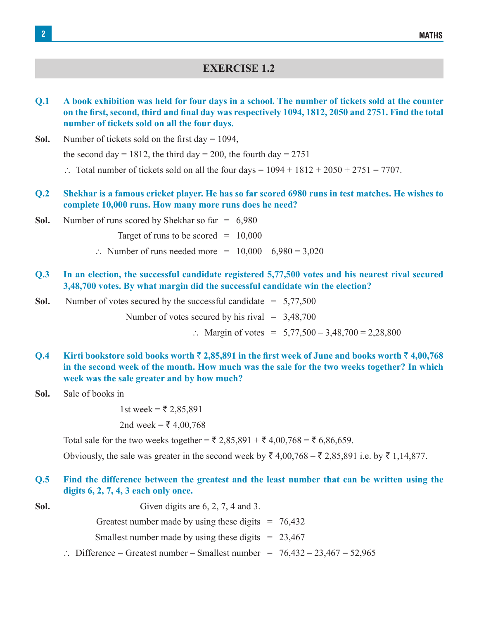### **EXERCISE 1.2**

0.1 A book exhibition was held for four days in a school. The number of tickets sold at the counter on the first, second, third and final day was respectively 1094, 1812, 2050 and 2751. Find the total **number of tickets sold on all the four days.**

**Sol.** Number of tickets sold on the first day  $= 1094$ ,

the second day = 1812, the third day = 200, the fourth day =  $2751$ 

- $\therefore$  Total number of tickets sold on all the four days = 1094 + 1812 + 2050 + 2751 = 7707.
- Q.2 Shekhar is a famous cricket player. He has so far scored 6980 runs in test matches. He wishes to **complete 10,000 runs. How many more runs does he need?**
- **Sol.** Number of runs scored by Shekhar so far  $= 6,980$

Target of runs to be scored  $=$  10,000

- $\therefore$  Number of runs needed more = 10,000 6,980 = 3,020
- **Q.3 In an election, the successful candidate registered 5,77,500 votes and his nearest rival secured 3,48,700 votes. By what margin did the successful candidate win the election?**

**Sol.** Number of votes secured by the successful candidate  $= 5.77,500$ 

Number of votes secured by his rival  $= 3,48,700$ 

 $\therefore$  Margin of votes = 5,77,500 – 3,48,700 = 2,28,800

- **Q.4** Kirti bookstore sold books worth  $\bar{\tau}$  2,85,891 in the first week of June and books worth  $\bar{\tau}$  4,00,768 **in the second week of the month. How much was the sale for the two weeks together? In which week was the sale greater and by how much?**
- **Sol.** Sale of books in

1st week =  $\bar{\tau}$  2,85,891

2nd week = ₹ 4,00,768

Total sale for the two weeks together =  $\bar{\tau}$  2,85,891 +  $\bar{\tau}$  4,00,768 =  $\bar{\tau}$  6,86,659.

Obviously, the sale was greater in the second week by  $\bar{\xi}$  4,00,768 –  $\bar{\xi}$  2,85,891 i.e. by  $\bar{\xi}$  1,14,877.

#### **Q.5 Find the difference between the greatest and the least number that can be written using the digits 6, 2, 7, 4, 3 each only once.**

**Sol.** Given digits are 6, 2, 7, 4 and 3.

- Greatest number made by using these digits  $= 76,432$
- Smallest number made by using these digits  $= 23,467$
- $\therefore$  Difference = Greatest number Smallest number = 76,432 23,467 = 52,965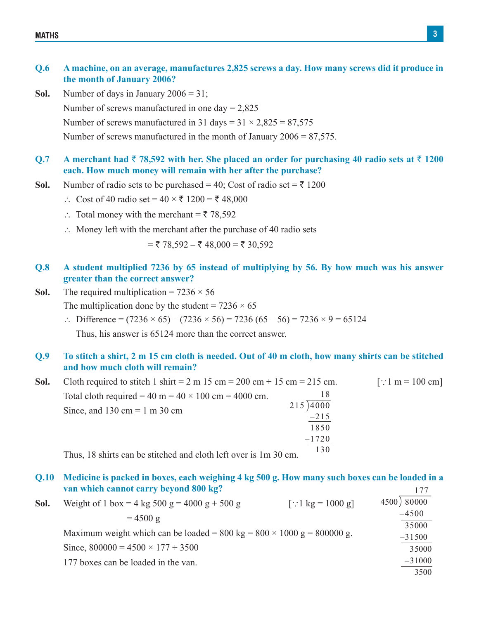#### **Q.6 A machine, on an average, manufactures 2,825 screws a day. How many screws did it produce in the month of January 2006?**

**Sol.** Number of days in January  $2006 = 31$ ;

Number of screws manufactured in one day  $= 2,825$ 

Number of screws manufactured in 31 days =  $31 \times 2,825 = 87,575$ 

 Number of screws manufactured in the month of January 2006 = 87,575.

#### **Q.7** A merchant had  $\bar{\tau}$  78,592 with her. She placed an order for purchasing 40 radio sets at  $\bar{\tau}$  1200 **each. How much money will remain with her after the purchase?**

- **Sol.** Number of radio sets to be purchased = 40; Cost of radio set =  $\overline{z}$  1200
	- ∴ Cost of 40 radio set =  $40 \times \overline{5}$  1200 =  $\overline{5}$  48,000
	- $\therefore$  Total money with the merchant =  $\overline{5}$  78,592
	- $\therefore$  Money left with the merchant after the purchase of 40 radio sets

 $=$  ₹ 78,592 – ₹ 48,000 = ₹ 30,592

- **Q.8 A student multiplied 7236 by 65 instead of multiplying by 56. By how much was his answer greater than the correct answer?**
- **Sol.** The required multiplication =  $7236 \times 56$ The multiplication done by the student =  $7236 \times 65$ 
	- $\therefore$  Difference = (7236 × 65) (7236 × 56) = 7236 (65 56) = 7236 × 9 = 65124

 Thus, his answer is 65124 more than the correct answer.

#### Q.9 To stitch a shirt, 2 m 15 cm cloth is needed. Out of 40 m cloth, how many shirts can be stitched **and how much cloth will remain?**

| Sol. | Cloth required to stitch 1 shirt = $2 \text{ m}$ 15 cm = $200 \text{ cm} + 15 \text{ cm} = 215 \text{ cm}$ . |          | [:: 1 m = 100 cm] |
|------|--------------------------------------------------------------------------------------------------------------|----------|-------------------|
|      | Total cloth required = 40 m = $40 \times 100$ cm = 4000 cm.                                                  |          |                   |
|      | Since, and $130 \text{ cm} = 1 \text{ m } 30 \text{ cm}$                                                     | 215 4000 |                   |
|      |                                                                                                              | $-215$   |                   |
|      |                                                                                                              | 1850     |                   |
|      |                                                                                                              | $-1720$  |                   |
|      | .                                                                                                            |          |                   |

 Thus, 18 shirts can be stitched and cloth left over is 1m 30 cm.

#### Q.10 Medicine is packed in boxes, each weighing 4 kg 500 g. How many such boxes can be loaded in a **van which cannot carry beyond 800 kg?** 177

| Sol. | Weight of 1 box = 4 kg 500 g = 4000 g + 500 g                                   | [∴1 kg = 1000 g] | 4500 80000 |
|------|---------------------------------------------------------------------------------|------------------|------------|
|      | $= 4500 \text{ g}$                                                              |                  | $-4500$    |
|      |                                                                                 | 35000            |            |
|      | Maximum weight which can be loaded = 800 kg = $800 \times 1000$ g = $800000$ g. | $-31500$         |            |
|      | Since, $800000 = 4500 \times 177 + 3500$                                        | 35000            |            |
|      | 177 boxes can be loaded in the van.                                             |                  | $-31000$   |
|      |                                                                                 |                  | 3500       |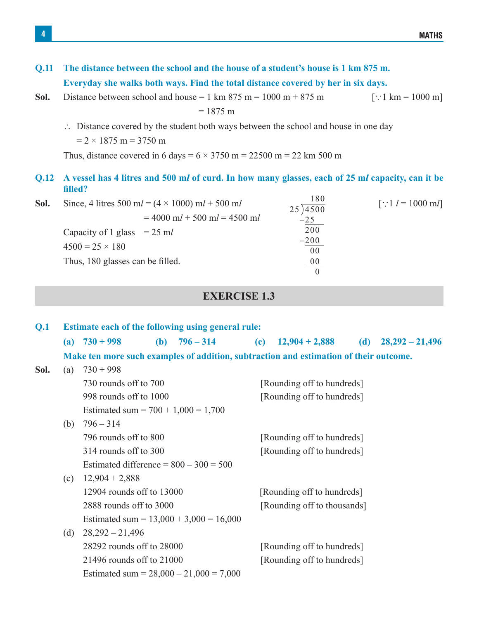| Q.11        | The distance between the school and the house of a student's house is 1 km 875 m.<br>Everyday she walks both ways. Find the total distance covered by her in six days.                                         |                                                                      |                     |  |  |
|-------------|----------------------------------------------------------------------------------------------------------------------------------------------------------------------------------------------------------------|----------------------------------------------------------------------|---------------------|--|--|
| Sol.        | Distance between school and house = 1 km 875 m = $1000 \text{ m} + 875 \text{ m}$<br>$= 1875 \text{ m}$                                                                                                        | [::1 km = 1000 m]                                                    |                     |  |  |
|             | $\therefore$ Distance covered by the student both ways between the school and house in one day<br>$= 2 \times 1875$ m = 3750 m<br>Thus, distance covered in 6 days = $6 \times 3750$ m = 22500 m = 22 km 500 m |                                                                      |                     |  |  |
| <b>Q.12</b> | A vessel has 4 litres and 500 ml of curd. In how many glasses, each of 25 ml capacity, can it be<br>filled?                                                                                                    |                                                                      |                     |  |  |
| Sol.        | Since, 4 litres 500 ml = $(4 \times 1000)$ ml + 500 ml<br>$= 4000$ ml + 500 ml = 4500 ml<br>Capacity of 1 glass $= 25$ ml<br>$4500 = 25 \times 180$<br>Thus, 180 glasses can be filled.                        | 180<br>25)4500<br>$-25$<br>200<br>$-200$<br>00<br>$00\,$<br>$\Omega$ | [::1 $l = 1000$ ml] |  |  |

# **EXERCISE 1.3**

| Q.1  | <b>Estimate each of the following using general rule:</b> |                                           |  |                 |  |                                                                                       |     |                   |
|------|-----------------------------------------------------------|-------------------------------------------|--|-----------------|--|---------------------------------------------------------------------------------------|-----|-------------------|
|      |                                                           | (a) $730 + 998$                           |  | (b) $796 - 314$ |  | (c) $12,904 + 2,888$                                                                  | (d) | $28,292 - 21,496$ |
|      |                                                           |                                           |  |                 |  | Make ten more such examples of addition, subtraction and estimation of their outcome. |     |                   |
| Sol. | (a)                                                       | $730 + 998$                               |  |                 |  |                                                                                       |     |                   |
|      |                                                           | 730 rounds off to 700                     |  |                 |  | [Rounding off to hundreds]                                                            |     |                   |
|      |                                                           | 998 rounds off to 1000                    |  |                 |  | [Rounding off to hundreds]                                                            |     |                   |
|      | Estimated sum = $700 + 1,000 = 1,700$                     |                                           |  |                 |  |                                                                                       |     |                   |
|      | (b)                                                       | $796 - 314$                               |  |                 |  |                                                                                       |     |                   |
|      |                                                           | 796 rounds off to 800                     |  |                 |  | [Rounding off to hundreds]                                                            |     |                   |
|      |                                                           | 314 rounds off to 300                     |  |                 |  | [Rounding off to hundreds]                                                            |     |                   |
|      |                                                           | Estimated difference = $800 - 300 = 500$  |  |                 |  |                                                                                       |     |                   |
|      | (c)                                                       | $12,904 + 2,888$                          |  |                 |  |                                                                                       |     |                   |
|      |                                                           | 12904 rounds off to 13000                 |  |                 |  | [Rounding off to hundreds]                                                            |     |                   |
|      |                                                           | 2888 rounds off to 3000                   |  |                 |  | [Rounding off to thousands]                                                           |     |                   |
|      |                                                           | Estimated sum = $13,000 + 3,000 = 16,000$ |  |                 |  |                                                                                       |     |                   |
|      | (d)                                                       | $28,292 - 21,496$                         |  |                 |  |                                                                                       |     |                   |
|      |                                                           | 28292 rounds off to 28000                 |  |                 |  | [Rounding off to hundreds]                                                            |     |                   |
|      |                                                           | 21496 rounds off to 21000                 |  |                 |  | [Rounding off to hundreds]                                                            |     |                   |
|      |                                                           | Estimated sum = $28,000 - 21,000 = 7,000$ |  |                 |  |                                                                                       |     |                   |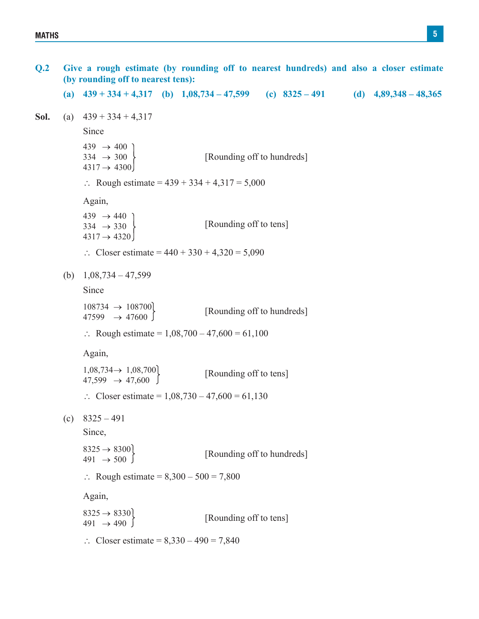**Q.2 Give a rough estimate (by rounding off to nearest hundreds) and also a closer estimate (by rounding off to nearest tens): (a) 439 + 334 + 4,317 (b) 1,08,734 – 47,599 (c) 8325 – 491 (d) 4,89,348 – 48,365 Sol.** (a)  $439 + 334 + 4317$  Since  $439 \rightarrow 400$  $334 \rightarrow 300$  $4317 \rightarrow 4300$ [Rounding off to hundreds]  $\therefore$  Rough estimate = 439 + 334 + 4,317 = 5,000 Again,  $439 \rightarrow 440$ <br> $334 \rightarrow 330$  $4317 \rightarrow 4320$ [Rounding off to tens]  $\therefore$  Closer estimate = 440 + 330 + 4,320 = 5,090 (b)  $1,08,734 - 47,599$  Since  $108734 \rightarrow 108700$ <br>47599  $\rightarrow$  47600 [Rounding off to hundreds]  $\therefore$  Rough estimate = 1,08,700 – 47,600 = 61,100 Again,  $1,08,734 \rightarrow 1,08,700$ <br>  $47,599 \rightarrow 47,600$ [Rounding off to tens]  $\therefore$  Closer estimate = 1,08,730 – 47,600 = 61,130 (c)  $8325 - 491$  Since,  $8325 \rightarrow 8300$ <br>491  $\rightarrow 500$ [Rounding off to hundreds]  $\therefore$  Rough estimate = 8,300 – 500 = 7,800 Again,  $8325 \rightarrow 8330$ <br>491  $\rightarrow 490$ [Rounding off to tens]  $\therefore$  Closer estimate = 8,330 – 490 = 7,840